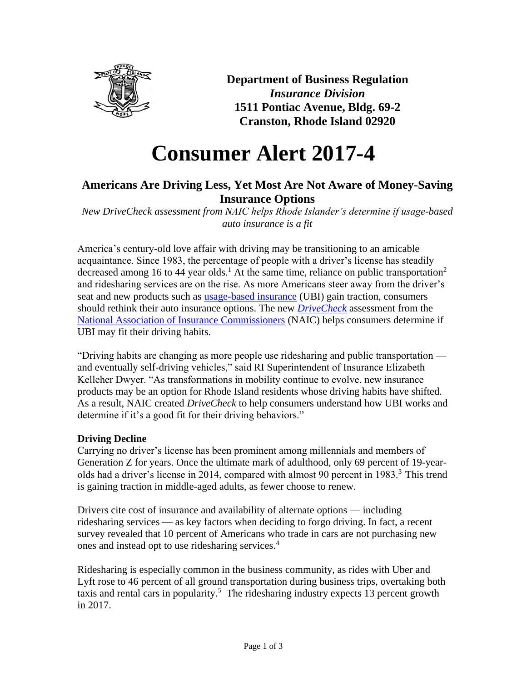

**Department of Business Regulation** *Insurance Division* **1511 Pontiac Avenue, Bldg. 69-2 Cranston, Rhode Island 02920**

# **Consumer Alert 2017-4**

## **Americans Are Driving Less, Yet Most Are Not Aware of Money-Saving Insurance Options**

*New DriveCheck assessment from NAIC helps Rhode Islander's determine if usage-based auto insurance is a fit* 

America's century-old love affair with driving may be transitioning to an amicable acquaintance. Since 1983, the percentage of people with a driver's license has steadily decreased among 16 to 44 year olds.<sup>1</sup> At the same time, reliance on public transportation<sup>2</sup> and ridesharing services are on the rise. As more Americans steer away from the driver's seat and new products such as **usage-based insurance** (UBI) gain traction, consumers should rethink their auto insurance options. The new *[DriveCheck](http://www.insureuonline.org/drivecheck.htm)* assessment from the [National Association of Insurance Commissioners](http://www.naic.org/) (NAIC) helps consumers determine if UBI may fit their driving habits.

"Driving habits are changing as more people use ridesharing and public transportation and eventually self-driving vehicles," said RI Superintendent of Insurance Elizabeth Kelleher Dwyer. "As transformations in mobility continue to evolve, new insurance products may be an option for Rhode Island residents whose driving habits have shifted. As a result, NAIC created *DriveCheck* to help consumers understand how UBI works and determine if it's a good fit for their driving behaviors."

### **Driving Decline**

Carrying no driver's license has been prominent among millennials and members of Generation Z for years. Once the ultimate mark of adulthood, only 69 percent of 19-yearolds had a driver's license in 2014, compared with almost 90 percent in  $1983<sup>3</sup>$ . This trend is gaining traction in middle-aged adults, as fewer choose to renew.

Drivers cite cost of insurance and availability of alternate options — including ridesharing services — as key factors when deciding to forgo driving. In fact, a recent survey revealed that 10 percent of Americans who trade in cars are not purchasing new ones and instead opt to use ridesharing services.<sup>4</sup>

Ridesharing is especially common in the business community, as rides with Uber and Lyft rose to 46 percent of all ground transportation during business trips, overtaking both taxis and rental cars in popularity.<sup>5</sup> The ridesharing industry expects 13 percent growth in 2017.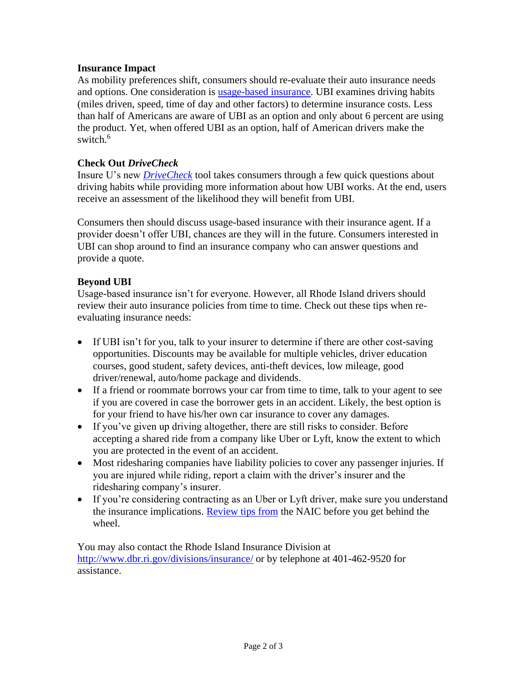#### **Insurance Impact**

As mobility preferences shift, consumers should re-evaluate their auto insurance needs and options. One consideration is [usage-based insurance.](http://www.naic.org/documents/consumer_alert_understanding_usage_based_insurance.htm) UBI examines driving habits (miles driven, speed, time of day and other factors) to determine insurance costs. Less than half of Americans are aware of UBI as an option and only about 6 percent are using the product. Yet, when offered UBI as an option, half of American drivers make the switch. $6$ 

#### **Check Out** *DriveCheck*

Insure U's new *[DriveCheck](http://www.insureuonline.org/drivecheck.htm)* tool takes consumers through a few quick questions about driving habits while providing more information about how UBI works. At the end, users receive an assessment of the likelihood they will benefit from UBI.

Consumers then should discuss usage-based insurance with their insurance agent. If a provider doesn't offer UBI, chances are they will in the future. Consumers interested in UBI can shop around to find an insurance company who can answer questions and provide a quote.

#### **Beyond UBI**

Usage-based insurance isn't for everyone. However, all Rhode Island drivers should review their auto insurance policies from time to time. Check out these tips when reevaluating insurance needs:

- If UBI isn't for you, talk to your insurer to determine if there are other cost-saving opportunities. Discounts may be available for multiple vehicles, driver education courses, good student, safety devices, anti-theft devices, low mileage, good driver/renewal, auto/home package and dividends.
- If a friend or roommate borrows your car from time to time, talk to your agent to see if you are covered in case the borrower gets in an accident. Likely, the best option is for your friend to have his/her own car insurance to cover any damages.
- If you've given up driving altogether, there are still risks to consider. Before accepting a shared ride from a company like Uber or Lyft, know the extent to which you are protected in the event of an accident.
- Most ridesharing companies have liability policies to cover any passenger injuries. If you are injured while riding, report a claim with the driver's insurer and the ridesharing company's insurer.
- If you're considering contracting as an Uber or Lyft driver, make sure you understand the insurance implications. [Review tips from](http://www.naic.org/documents/consumer_alert_ridesharing_drivers.htm) the NAIC before you get behind the wheel.

You may also contact the Rhode Island Insurance Division at <http://www.dbr.ri.gov/divisions/insurance/> or by telephone at 401-462-9520 for assistance.